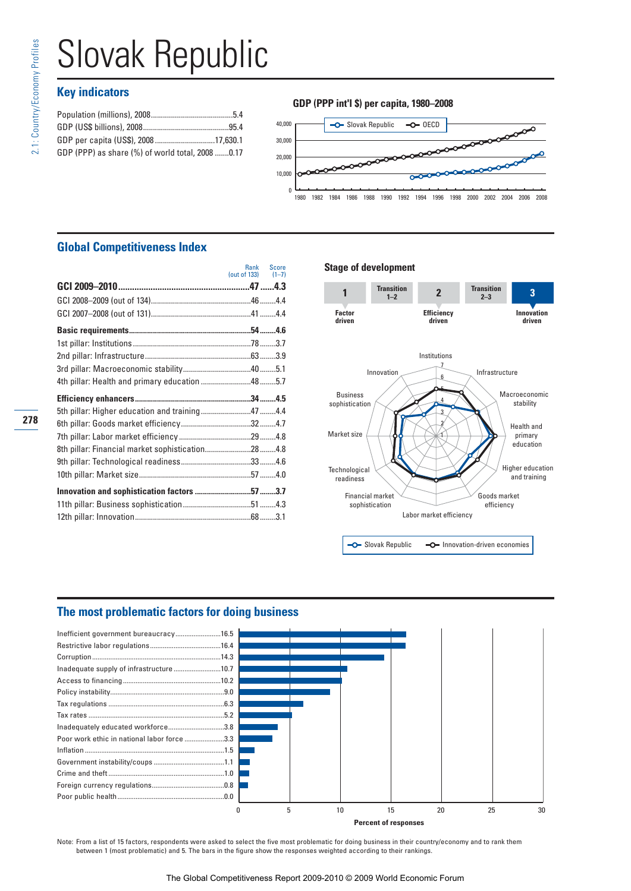278

# Slovak Republic

# **Key indicators**

| GDP per capita (US\$), 200817,630.1              |  |
|--------------------------------------------------|--|
| GDP (PPP) as share (%) of world total, 2008 0.17 |  |
|                                                  |  |





# **Global Competitiveness Index**

|                                                  |                      | Rank Score |
|--------------------------------------------------|----------------------|------------|
|                                                  | (out of 133) $(1-7)$ |            |
|                                                  |                      |            |
|                                                  |                      |            |
|                                                  |                      |            |
|                                                  |                      |            |
|                                                  |                      |            |
|                                                  |                      |            |
|                                                  |                      |            |
| 4th pillar: Health and primary education 485.7   |                      |            |
|                                                  |                      |            |
| 5th pillar: Higher education and training474.4   |                      |            |
|                                                  |                      |            |
|                                                  |                      |            |
| 8th pillar: Financial market sophistication284.8 |                      |            |
|                                                  |                      |            |
|                                                  |                      |            |
|                                                  |                      |            |
|                                                  |                      |            |
|                                                  |                      |            |

#### **Stage of development**



## **The most problematic factors for doing business**



**Percent of responses**

Note: From a list of 15 factors, respondents were asked to select the five most problematic for doing business in their country/economy and to rank them between 1 (most problematic) and 5. The bars in the figure show the responses weighted according to their rankings.